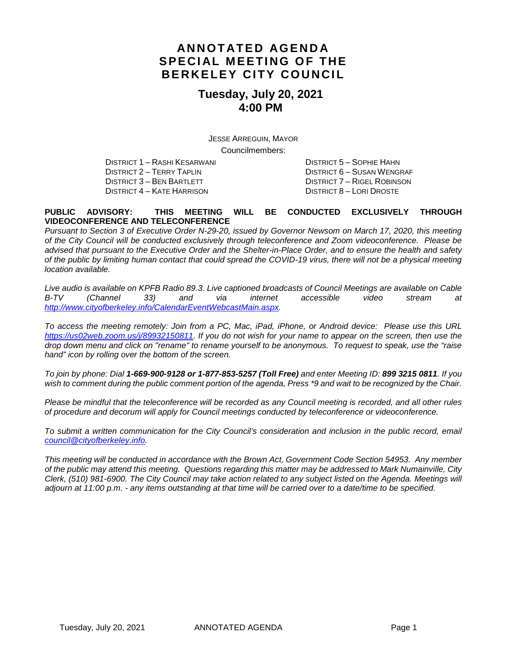## **ANNOTATED AGENDA SPECIAL MEETING OF THE BERKELEY CITY COUNCIL**

## **Tuesday, July 20, 2021 4:00 PM**

JESSE ARREGUIN, MAYOR Councilmembers:

DISTRICT 1 – RASHI KESARWANI DISTRICT 5 – SOPHIE HAHN DISTRICT 3 – BEN BARTLETT DISTRICT 7 – RIGEL ROBINSON DISTRICT 4 – KATE HARRISON DISTRICT 8 – LORI DROSTE

DISTRICT 6 – SUSAN WENGRAF

#### **PUBLIC ADVISORY: THIS MEETING WILL BE CONDUCTED EXCLUSIVELY THROUGH VIDEOCONFERENCE AND TELECONFERENCE**

*Pursuant to Section 3 of Executive Order N-29-20, issued by Governor Newsom on March 17, 2020, this meeting of the City Council will be conducted exclusively through teleconference and Zoom videoconference. Please be advised that pursuant to the Executive Order and the Shelter-in-Place Order, and to ensure the health and safety of the public by limiting human contact that could spread the COVID-19 virus, there will not be a physical meeting location available.* 

*Live audio is available on KPFB Radio 89.3. Live captioned broadcasts of Council Meetings are available on Cable B-TV (Channel 33) and via internet accessible video stream at [http://www.cityofberkeley.info/CalendarEventWebcastMain.aspx.](http://www.cityofberkeley.info/CalendarEventWebcastMain.aspx)*

*To access the meeting remotely: Join from a PC, Mac, iPad, iPhone, or Android device: Please use this URL [https://us02web.zoom.us/j/89932150811.](https://us02web.zoom.us/j/89932150811) If you do not wish for your name to appear on the screen, then use the drop down menu and click on "rename" to rename yourself to be anonymous. To request to speak, use the "raise hand" icon by rolling over the bottom of the screen.* 

*To join by phone: Dial 1-669-900-9128 or 1-877-853-5257 (Toll Free) and enter Meeting ID: 899 3215 0811. If you*  wish to comment during the public comment portion of the agenda, Press \*9 and wait to be recognized by the Chair.

*Please be mindful that the teleconference will be recorded as any Council meeting is recorded, and all other rules of procedure and decorum will apply for Council meetings conducted by teleconference or videoconference.*

To submit a written communication for the City Council's consideration and inclusion in the public record, email *[council@cityofberkeley.info.](mailto:council@cityofberkeley.info)*

*This meeting will be conducted in accordance with the Brown Act, Government Code Section 54953. Any member of the public may attend this meeting. Questions regarding this matter may be addressed to Mark Numainville, City Clerk, (510) 981-6900. The City Council may take action related to any subject listed on the Agenda. Meetings will adjourn at 11:00 p.m. - any items outstanding at that time will be carried over to a date/time to be specified.*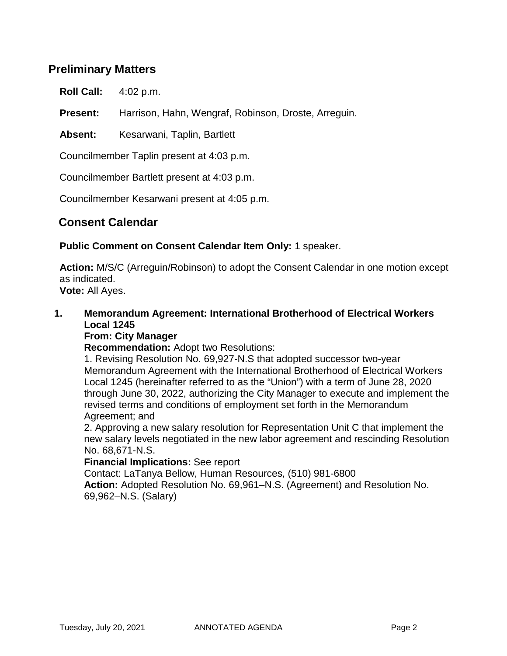## **Preliminary Matters**

**Roll Call:** 4:02 p.m.

**Present:** Harrison, Hahn, Wengraf, Robinson, Droste, Arreguin.

Absent: Kesarwani, Taplin, Bartlett

Councilmember Taplin present at 4:03 p.m.

Councilmember Bartlett present at 4:03 p.m.

Councilmember Kesarwani present at 4:05 p.m.

## **Consent Calendar**

**Public Comment on Consent Calendar Item Only:** 1 speaker.

**Action:** M/S/C (Arreguin/Robinson) to adopt the Consent Calendar in one motion except as indicated. **Vote:** All Ayes.

**1. Memorandum Agreement: International Brotherhood of Electrical Workers Local 1245**

#### **From: City Manager**

**Recommendation:** Adopt two Resolutions:

1. Revising Resolution No. 69,927-N.S that adopted successor two-year Memorandum Agreement with the International Brotherhood of Electrical Workers Local 1245 (hereinafter referred to as the "Union") with a term of June 28, 2020 through June 30, 2022, authorizing the City Manager to execute and implement the revised terms and conditions of employment set forth in the Memorandum Agreement; and

2. Approving a new salary resolution for Representation Unit C that implement the new salary levels negotiated in the new labor agreement and rescinding Resolution No. 68,671-N.S.

#### **Financial Implications:** See report

Contact: LaTanya Bellow, Human Resources, (510) 981-6800 **Action:** Adopted Resolution No. 69,961–N.S. (Agreement) and Resolution No. 69,962–N.S. (Salary)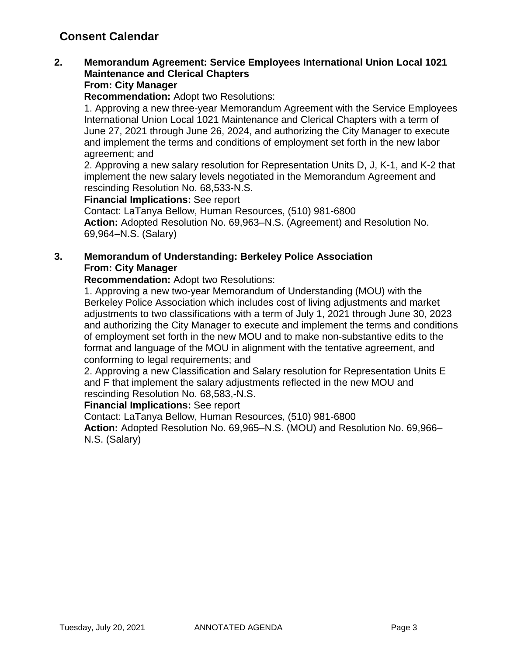# **Consent Calendar**

## **2. Memorandum Agreement: Service Employees International Union Local 1021 Maintenance and Clerical Chapters**

#### **From: City Manager**

**Recommendation:** Adopt two Resolutions:

1. Approving a new three-year Memorandum Agreement with the Service Employees International Union Local 1021 Maintenance and Clerical Chapters with a term of June 27, 2021 through June 26, 2024, and authorizing the City Manager to execute and implement the terms and conditions of employment set forth in the new labor agreement; and

2. Approving a new salary resolution for Representation Units D, J, K-1, and K-2 that implement the new salary levels negotiated in the Memorandum Agreement and rescinding Resolution No. 68,533-N.S.

**Financial Implications:** See report

Contact: LaTanya Bellow, Human Resources, (510) 981-6800 **Action:** Adopted Resolution No. 69,963–N.S. (Agreement) and Resolution No. 69,964–N.S. (Salary)

#### **3. Memorandum of Understanding: Berkeley Police Association From: City Manager**

**Recommendation:** Adopt two Resolutions:

1. Approving a new two-year Memorandum of Understanding (MOU) with the Berkeley Police Association which includes cost of living adjustments and market adjustments to two classifications with a term of July 1, 2021 through June 30, 2023 and authorizing the City Manager to execute and implement the terms and conditions of employment set forth in the new MOU and to make non-substantive edits to the format and language of the MOU in alignment with the tentative agreement, and conforming to legal requirements; and

2. Approving a new Classification and Salary resolution for Representation Units E and F that implement the salary adjustments reflected in the new MOU and rescinding Resolution No. 68,583,-N.S.

#### **Financial Implications:** See report

Contact: LaTanya Bellow, Human Resources, (510) 981-6800

**Action:** Adopted Resolution No. 69,965–N.S. (MOU) and Resolution No. 69,966– N.S. (Salary)